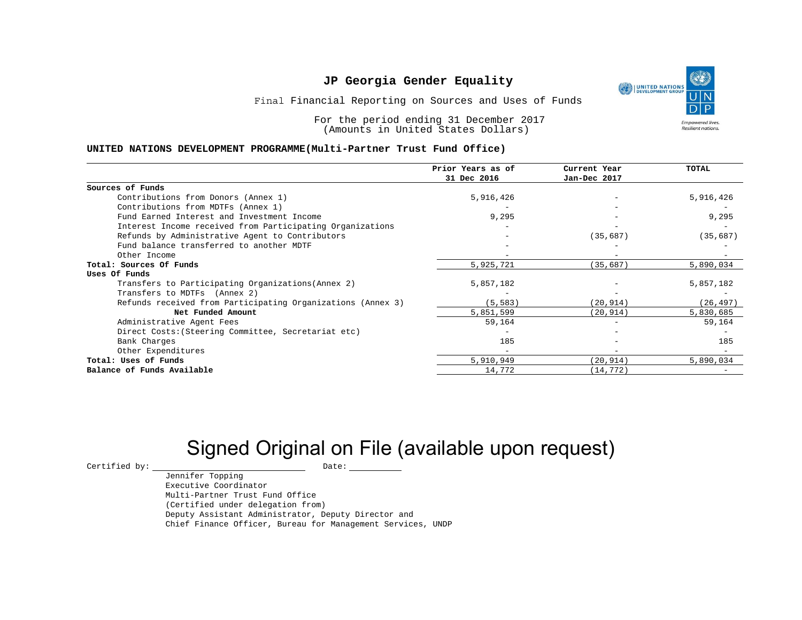

Final Financial Reporting on Sources and Uses of Funds

For the period ending 31 December 2017 (Amounts in United States Dollars)

#### **UNITED NATIONS DEVELOPMENT PROGRAMME(Multi-Partner Trust Fund Office)**

|                                                             | Prior Years as of<br>31 Dec 2016 | Current Year<br>Jan-Dec 2017 | TOTAL     |
|-------------------------------------------------------------|----------------------------------|------------------------------|-----------|
|                                                             |                                  |                              |           |
| Sources of Funds                                            |                                  |                              |           |
| Contributions from Donors (Annex 1)                         | 5,916,426                        |                              | 5,916,426 |
| Contributions from MDTFs (Annex 1)                          |                                  |                              |           |
| Fund Earned Interest and Investment Income                  | 9,295                            |                              | 9,295     |
| Interest Income received from Participating Organizations   |                                  |                              |           |
| Refunds by Administrative Agent to Contributors             |                                  | (35, 687)                    | (35, 687) |
| Fund balance transferred to another MDTF                    |                                  |                              |           |
| Other Income                                                |                                  |                              |           |
| Total: Sources Of Funds                                     | 5,925,721                        | (35, 687)                    | 5,890,034 |
| Uses Of Funds                                               |                                  |                              |           |
| Transfers to Participating Organizations (Annex 2)          | 5,857,182                        |                              | 5,857,182 |
| Transfers to MDTFs (Annex 2)                                |                                  |                              |           |
| Refunds received from Participating Organizations (Annex 3) | (5, 583)                         | (20, 914)                    | (26, 497) |
| Net Funded Amount                                           | 5,851,599                        | (20, 914)                    | 5,830,685 |
| Administrative Agent Fees                                   | 59,164                           |                              | 59,164    |
| Direct Costs: (Steering Committee, Secretariat etc)         |                                  |                              |           |
| Bank Charges                                                | 185                              |                              | 185       |
| Other Expenditures                                          |                                  |                              |           |
| Total: Uses of Funds                                        | 5,910,949                        | (20, 914)                    | 5,890,034 |
| Balance of Funds Available                                  | 14,772                           | (14, 772)                    |           |

# Signed Original on File (available upon request)

 $\begin{array}{cccc}\n\text{Certified by:}\quad\text{---}\quad\text{---}\quad\text{---}\quad\text{Date:}\quad\text{---}\quad\text{---}\quad\text{---}\quad\text{---}\quad\text{---}\quad\text{---}\quad\text{---}\quad\text{---}\quad\text{---}\quad\text{---}\quad\text{---}\quad\text{---}\quad\text{---}\quad\text{---}\quad\text{---}\quad\text{---}\quad\text{---}\quad\text{---}\quad\text{---}\quad\text{---}\quad\text{---}\quad\text{---}\quad\text{---}\quad\text{---}\quad\text{---}\quad\text{---}\quad\text{---}\quad\text{---}\quad\text{---}\quad\text{---$ 

Jennifer Topping Executive Coordinator Multi-Partner Trust Fund Office (Certified under delegation from) Deputy Assistant Administrator, Deputy Director and Chief Finance Officer, Bureau for Management Services, UNDP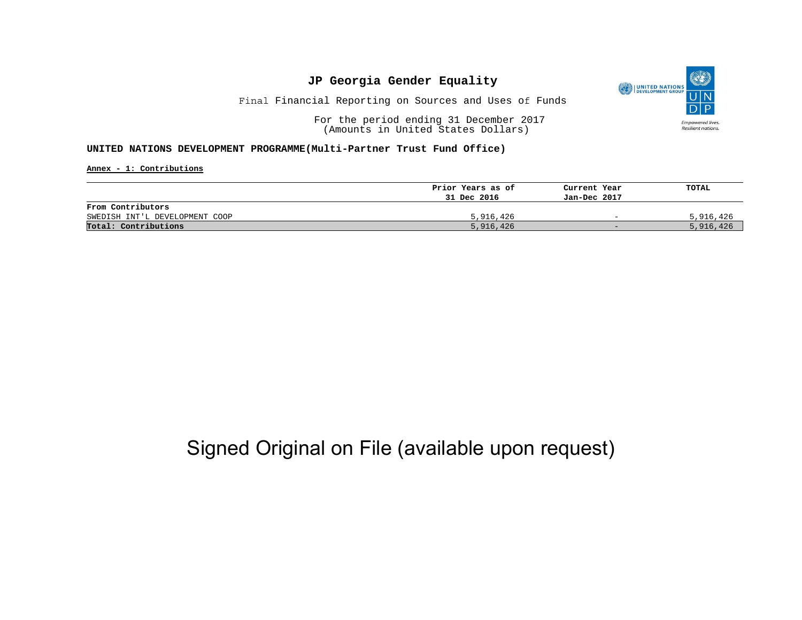

Final Financial Reporting on Sources and Uses of Funds

For the period ending 31 December 2017 (Amounts in United States Dollars)

#### **UNITED NATIONS DEVELOPMENT PROGRAMME(Multi-Partner Trust Fund Office)**

**Annex - 1: Contributions**

|                                | Prior Years as of | Current Year             | TOTAL     |
|--------------------------------|-------------------|--------------------------|-----------|
|                                | 31 Dec 2016       | Jan-Dec 2017             |           |
| From Contributors              |                   |                          |           |
| SWEDISH INT'L DEVELOPMENT COOP | 5,916,426         | $\overline{\phantom{0}}$ | 5,916,426 |
| Total: Contributions           | 5,916,426         | $-$                      | 5,916,426 |

## Signed Original on File (available upon request)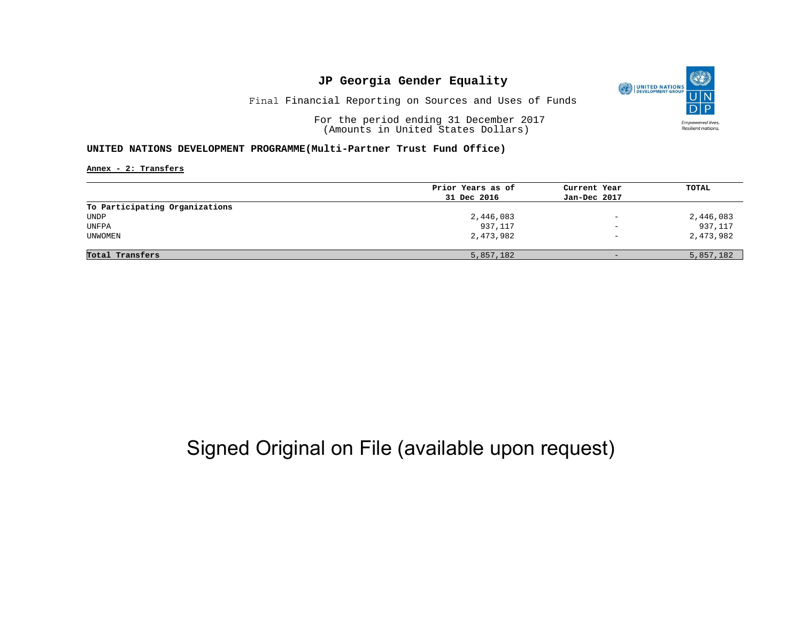

Final Financial Reporting on Sources and Uses of Funds

For the period ending 31 December 2017 (Amounts in United States Dollars)

#### **UNITED NATIONS DEVELOPMENT PROGRAMME(Multi-Partner Trust Fund Office)**

**Annex - 2: Transfers**

|                                | Prior Years as of | Current Year             | TOTAL     |
|--------------------------------|-------------------|--------------------------|-----------|
|                                | 31 Dec 2016       | Jan-Dec 2017             |           |
| To Participating Organizations |                   |                          |           |
| UNDP                           | 2,446,083         | $\overline{\phantom{0}}$ | 2,446,083 |
| UNFPA                          | 937,117           | $\overline{\phantom{0}}$ | 937,117   |
| <b>UNWOMEN</b>                 | 2,473,982         | $\overline{\phantom{a}}$ | 2,473,982 |
| Total Transfers                | 5,857,182         | $\qquad \qquad -$        | 5,857,182 |

## Signed Original on File (available upon request)